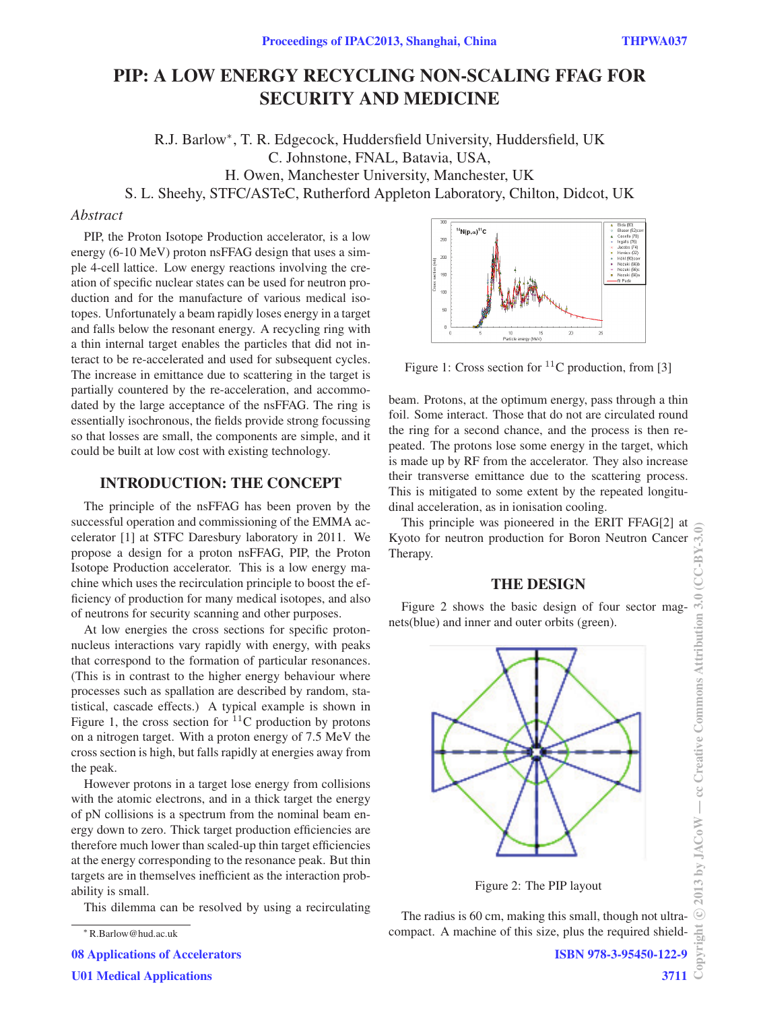# PIP: A LOW ENERGY RECYCLING NON-SCALING FFAG FOR SECURITY AND MEDICINE

R.J. Barlow∗, T. R. Edgecock, Huddersfield University, Huddersfield, UK C. Johnstone, FNAL, Batavia, USA, H. Owen, Manchester University, Manchester, UK S. L. Sheehy, STFC/ASTeC, Rutherford Appleton Laboratory, Chilton, Didcot, UK

#### Abstract

PIP, the Proton Isotope Production accelerator, is a low energy (6-10 MeV) proton nsFFAG design that uses a simple 4-cell lattice. Low energy reactions involving the creation of specific nuclear states can be used for neutron production and for the manufacture of various medical isotopes. Unfortunately a beam rapidly loses energy in a target and falls below the resonant energy. A recycling ring with a thin internal target enables the particles that did not interact to be re-accelerated and used for subsequent cycles. The increase in emittance due to scattering in the target is partially countered by the re-acceleration, and accommodated by the large acceptance of the nsFFAG. The ring is essentially isochronous, the fields provide strong focussing so that losses are small, the components are simple, and it could be built at low cost with existing technology.

#### INTRODUCTION: THE CONCEPT

The principle of the nsFFAG has been proven by the successful operation and commissioning of the EMMA accelerator [1] at STFC Daresbury laboratory in 2011. We propose a design for a proton nsFFAG, PIP, the Proton Isotope Production accelerator. This is a low energy machine which uses the recirculation principle to boost the efficiency of production for many medical isotopes, and also of neutrons for security scanning and other purposes.

At low energies the cross sections for specific protonnucleus interactions vary rapidly with energy, with peaks that correspond to the formation of particular resonances. (This is in contrast to the higher energy behaviour where processes such as spallation are described by random, statistical, cascade effects.) A typical example is shown in Figure 1, the cross section for  $11$ <sup>C</sup> production by protons on a nitrogen target. With a proton energy of 7.5 MeV the cross section is high, but falls rapidly at energies away from the peak.

However protons in a target lose energy from collisions with the atomic electrons, and in a thick target the energy of pN collisions is a spectrum from the nominal beam energy down to zero. Thick target production efficiencies are therefore much lower than scaled-up thin target efficiencies at the energy corresponding to the resonance peak. But thin targets are in themselves inefficient as the interaction probability is small.

This dilemma can be resolved by using a recirculating

08 Applications of Accelerators



Figure 1: Cross section for  ${}^{11}$ C production, from [3]

beam. Protons, at the optimum energy, pass through a thin foil. Some interact. Those that do not are circulated round the ring for a second chance, and the process is then repeated. The protons lose some energy in the target, which is made up by RF from the accelerator. They also increase their transverse emittance due to the scattering process. This is mitigated to some extent by the repeated longitudinal acceleration, as in ionisation cooling.

This principle was pioneered in the ERIT FFAG[2] at Kyoto for neutron production for Boron Neutron Cancer Therapy.

#### THE DESIGN

Figure 2 shows the basic design of four sector magnets(blue) and inner and outer orbits (green).



Figure 2: The PIP layout

The radius is 60 cm, making this small, though not ultracompact. A machine of this size, plus the required shield-

<sup>∗</sup>R.Barlow@hud.ac.uk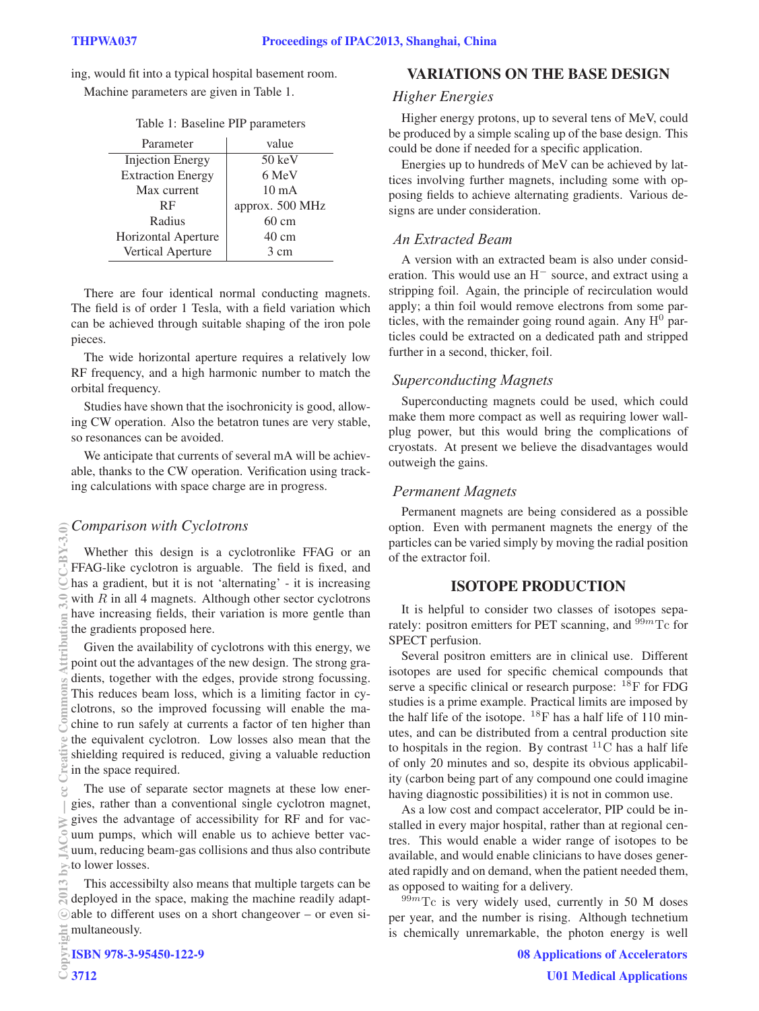ing, would fit into a typical hospital basement room.

Machine parameters are given in Table 1.

|  | Table 1: Baseline PIP parameters |  |
|--|----------------------------------|--|
|--|----------------------------------|--|

| Parameter                | value            |
|--------------------------|------------------|
| <b>Injection Energy</b>  | $50 \text{ keV}$ |
| <b>Extraction Energy</b> | 6 MeV            |
| Max current              | $10 \text{ mA}$  |
| <b>RF</b>                | approx. 500 MHz  |
| Radius                   | $60 \text{ cm}$  |
| Horizontal Aperture      | $40 \text{ cm}$  |
| Vertical Aperture        | 3 cm             |

There are four identical normal conducting magnets. The field is of order 1 Tesla, with a field variation which can be achieved through suitable shaping of the iron pole pieces.

The wide horizontal aperture requires a relatively low RF frequency, and a high harmonic number to match the orbital frequency.

Studies have shown that the isochronicity is good, allowing CW operation. Also the betatron tunes are very stable, so resonances can be avoided.

We anticipate that currents of several mA will be achievable, thanks to the CW operation. Verification using tracking calculations with space charge are in progress.

# *Comparison with Cyclotrons*

Whether this design is a cyclotronlike FFAG or an FFAG-like cyclotron is arguable. The field is fixed, and has a gradient, but it is not 'alternating' - it is increasing with  $R$  in all 4 magnets. Although other sector cyclotrons have increasing fields, their variation is more gentle than the gradients proposed here.

Given the availability of cyclotrons with this energy, we point out the advantages of the new design. The strong gradients, together with the edges, provide strong focussing. This reduces beam loss, which is a limiting factor in cyclotrons, so the improved focussing will enable the machine to run safely at currents a factor of ten higher than the equivalent cyclotron. Low losses also mean that the shielding required is reduced, giving a valuable reduction in the space required.

The use of separate sector magnets at these low energies, rather than a conventional single cyclotron magnet,  $\geq$  gives the advantage of accessibility for RF and for vacuum pumps, which will enable us to achieve better vacuum, reducing beam-gas collisions and thus also contribute to lower losses.

This accessibilty also means that multiple targets can be  $\mathbb{R}$  deployed in the space, making the machine readily adaptable to different uses on a short changeover – or even simultaneously.

### VARIATIONS ON THE BASE DESIGN

Higher energy protons, up to several tens of MeV, could be produced by a simple scaling up of the base design. This could be done if needed for a specific application.

Energies up to hundreds of MeV can be achieved by lattices involving further magnets, including some with opposing fields to achieve alternating gradients. Various designs are under consideration.

# *An Extracted Beam*

A version with an extracted beam is also under consideration. This would use an H<sup>−</sup> source, and extract using a stripping foil. Again, the principle of recirculation would apply; a thin foil would remove electrons from some particles, with the remainder going round again. Any  $H^0$  particles could be extracted on a dedicated path and stripped further in a second, thicker, foil.

# *Superconducting Magnets*

Superconducting magnets could be used, which could make them more compact as well as requiring lower wallplug power, but this would bring the complications of cryostats. At present we believe the disadvantages would outweigh the gains.

# *Permanent Magnets*

Permanent magnets are being considered as a possible option. Even with permanent magnets the energy of the particles can be varied simply by moving the radial position of the extractor foil.

### ISOTOPE PRODUCTION

It is helpful to consider two classes of isotopes separately: positron emitters for PET scanning, and  $99m$ Tc for SPECT perfusion.

Several positron emitters are in clinical use. Different isotopes are used for specific chemical compounds that serve a specific clinical or research purpose: <sup>18</sup>F for FDG studies is a prime example. Practical limits are imposed by the half life of the isotope.  $^{18}$ F has a half life of 110 minutes, and can be distributed from a central production site to hospitals in the region. By contrast  ${}^{11}$ C has a half life of only 20 minutes and so, despite its obvious applicability (carbon being part of any compound one could imagine having diagnostic possibilities) it is not in common use.

As a low cost and compact accelerator, PIP could be installed in every major hospital, rather than at regional centres. This would enable a wider range of isotopes to be available, and would enable clinicians to have doses generated rapidly and on demand, when the patient needed them, as opposed to waiting for a delivery.

 $99m$ Tc is very widely used, currently in 50 M doses per year, and the number is rising. Although technetium is chemically unremarkable, the photon energy is well